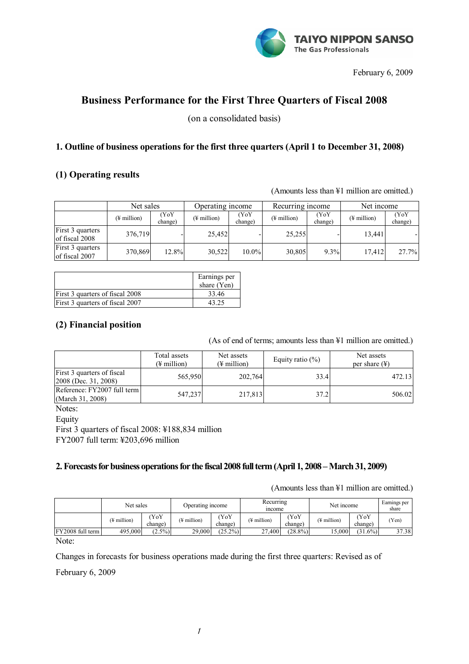

February 6, 2009

# **Business Performance for the First Three Quarters of Fiscal 2008**

(on a consolidated basis)

## **1. Outline of business operations for the first three quarters (April 1 to December 31, 2008)**

## **(1) Operating results**

(Amounts less than ¥1 million are omitted.)

|                                    | Net sales               |                 | Operating income        |                 | Recurring income        |                 | Net income              |                 |
|------------------------------------|-------------------------|-----------------|-------------------------|-----------------|-------------------------|-----------------|-------------------------|-----------------|
|                                    | $(\frac{1}{2}$ million) | (YoY<br>change) | $(\frac{1}{2})$ million | (YoY<br>change) | $(\frac{1}{2}$ million) | (YoY<br>change) | $(\frac{1}{2})$ million | (YoY<br>change) |
| First 3 quarters<br>of fiscal 2008 | 376,719                 |                 | 25.452                  |                 | 25,255                  |                 | 13.441                  |                 |
| First 3 quarters<br>of fiscal 2007 | 370,869                 | 12.8%           | 30,522                  | $10.0\%$        | 30,805                  | 9.3%            | 17.412                  | 27.7%           |

|                                 | Earnings per<br>share $(Yen)$ |
|---------------------------------|-------------------------------|
| First 3 quarters of fiscal 2008 | 33.46                         |
| First 3 quarters of fiscal 2007 |                               |

## **(2) Financial position**

(As of end of terms; amounts less than ¥1 million are omitted.)

|                                                    | Total assets<br>(¥ million) | Net assets<br>$(\frac{1}{2})$ million | Equity ratio $(\% )$ | Net assets<br>per share $(\frac{1}{2})$ |  |
|----------------------------------------------------|-----------------------------|---------------------------------------|----------------------|-----------------------------------------|--|
| First 3 quarters of fiscal<br>2008 (Dec. 31, 2008) | 565,950                     | 202,764                               | 33.4                 | 472.13                                  |  |
| Reference: FY2007 full term<br>(March 31, 2008)    | 547,237                     | 217,813                               | 37.2                 | 506.02                                  |  |

Notes:

Equity

First 3 quarters of fiscal 2008: ¥188,834 million FY2007 full term: ¥203,696 million

## **2. Forecasts for business operations for the fiscal 2008 full term (April 1, 2008 – March 31, 2009)**

(Amounts less than ¥1 million are omitted.)

|                  | Net sales               |                | Operating income |                | Recurring<br><i>n</i> come |                 | Net income              |                 | Earnings per<br>share |
|------------------|-------------------------|----------------|------------------|----------------|----------------------------|-----------------|-------------------------|-----------------|-----------------------|
|                  | $(\frac{1}{2}$ million) | YoY<br>change) | (¥ million)      | YoY<br>change) | (¥ million)                | (YoY<br>change) | $(\frac{1}{2}$ million) | (YoY<br>change) | (Yen)                 |
| FY2008 full term | 495,000                 | $(2.5\%)$      | 29,000           | $(25.2\%)$     | 27.400                     | $(28.8\%)$      | 15,000                  | $(31.6\%)$      | 37.38                 |
| $N_{\alpha}$     |                         |                |                  |                |                            |                 |                         |                 |                       |

Note:

Changes in forecasts for business operations made during the first three quarters: Revised as of

February 6, 2009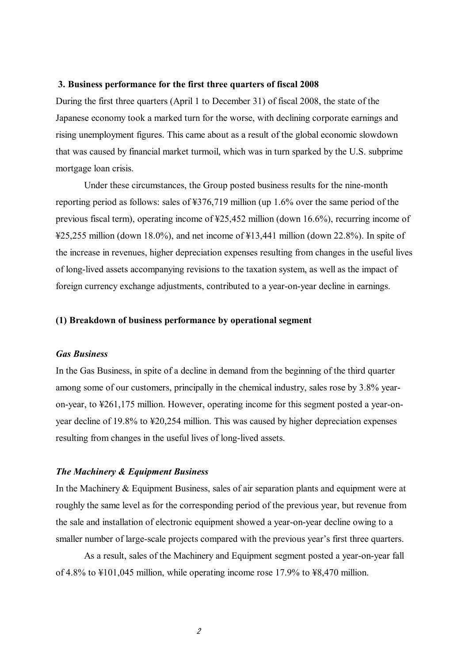#### **3. Business performance for the first three quarters of fiscal 2008**

During the first three quarters (April 1 to December 31) of fiscal 2008, the state of the Japanese economy took a marked turn for the worse, with declining corporate earnings and rising unemployment figures. This came about as a result of the global economic slowdown that was caused by financial market turmoil, which was in turn sparked by the U.S. subprime mortgage loan crisis.

Under these circumstances, the Group posted business results for the nine-month reporting period as follows: sales of ¥376,719 million (up 1.6% over the same period of the previous fiscal term), operating income of ¥25,452 million (down 16.6%), recurring income of ¥25,255 million (down 18.0%), and net income of ¥13,441 million (down 22.8%). In spite of the increase in revenues, higher depreciation expenses resulting from changes in the useful lives of long-lived assets accompanying revisions to the taxation system, as well as the impact of foreign currency exchange adjustments, contributed to a year-on-year decline in earnings.

#### **(1) Breakdown of business performance by operational segment**

#### *Gas Business*

In the Gas Business, in spite of a decline in demand from the beginning of the third quarter among some of our customers, principally in the chemical industry, sales rose by 3.8% yearon-year, to ¥261,175 million. However, operating income for this segment posted a year-onyear decline of 19.8% to ¥20,254 million. This was caused by higher depreciation expenses resulting from changes in the useful lives of long-lived assets.

#### *The Machinery & Equipment Business*

In the Machinery & Equipment Business, sales of air separation plants and equipment were at roughly the same level as for the corresponding period of the previous year, but revenue from the sale and installation of electronic equipment showed a year-on-year decline owing to a smaller number of large-scale projects compared with the previous year's first three quarters.

As a result, sales of the Machinery and Equipment segment posted a year-on-year fall of 4.8% to ¥101,045 million, while operating income rose 17.9% to ¥8,470 million.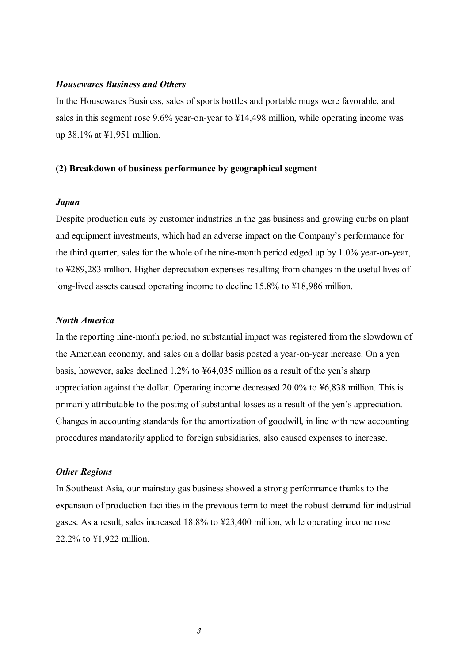#### *Housewares Business and Others*

In the Housewares Business, sales of sports bottles and portable mugs were favorable, and sales in this segment rose 9.6% year-on-year to ¥14,498 million, while operating income was up 38.1% at ¥1,951 million.

#### **(2) Breakdown of business performance by geographical segment**

#### *Japan*

Despite production cuts by customer industries in the gas business and growing curbs on plant and equipment investments, which had an adverse impact on the Company's performance for the third quarter, sales for the whole of the nine-month period edged up by 1.0% year-on-year, to ¥289,283 million. Higher depreciation expenses resulting from changes in the useful lives of long-lived assets caused operating income to decline 15.8% to ¥18,986 million.

#### *North America*

In the reporting nine-month period, no substantial impact was registered from the slowdown of the American economy, and sales on a dollar basis posted a year-on-year increase. On a yen basis, however, sales declined 1.2% to ¥64,035 million as a result of the yen's sharp appreciation against the dollar. Operating income decreased 20.0% to ¥6,838 million. This is primarily attributable to the posting of substantial losses as a result of the yen's appreciation. Changes in accounting standards for the amortization of goodwill, in line with new accounting procedures mandatorily applied to foreign subsidiaries, also caused expenses to increase.

#### *Other Regions*

In Southeast Asia, our mainstay gas business showed a strong performance thanks to the expansion of production facilities in the previous term to meet the robust demand for industrial gases. As a result, sales increased 18.8% to ¥23,400 million, while operating income rose 22.2% to ¥1,922 million.

 $\beta$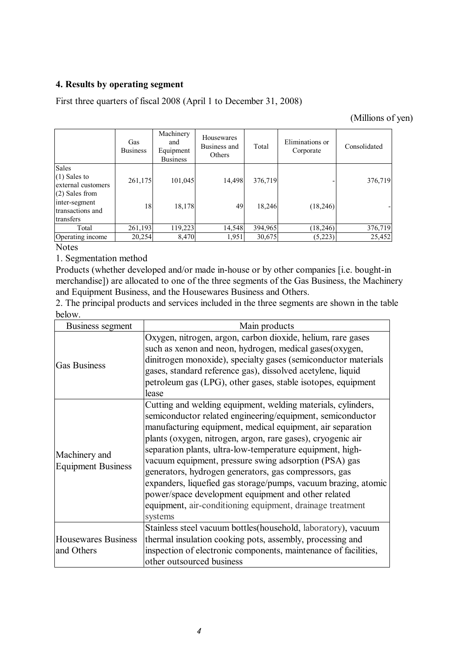### **4. Results by operating segment**

First three quarters of fiscal 2008 (April 1 to December 31, 2008)

(Millions of yen)

|                                                                   | Gas<br><b>Business</b> | Machinery<br>and<br>Equipment<br><b>Business</b> | Housewares<br>Business and<br>Others | Total   | Eliminations or<br>Corporate | Consolidated |
|-------------------------------------------------------------------|------------------------|--------------------------------------------------|--------------------------------------|---------|------------------------------|--------------|
| Sales<br>$(1)$ Sales to<br>external customers<br>$(2)$ Sales from | 261,175                | 101,045                                          | 14,498                               | 376,719 |                              | 376,719      |
| inter-segment<br>transactions and<br>transfers                    | 18                     | 18,178                                           | 49                                   | 18,246  | (18, 246)                    |              |
| Total                                                             | 261,193                | 119,223                                          | 14,548                               | 394,965 | (18, 246)                    | 376,719      |
| Operating income                                                  | 20,254                 | 8,470                                            | 1.951                                | 30,675  | (5,223)                      | 25,452       |

Notes

1. Segmentation method

Products (whether developed and/or made in-house or by other companies [i.e. bought-in merchandise]) are allocated to one of the three segments of the Gas Business, the Machinery and Equipment Business, and the Housewares Business and Others.

2. The principal products and services included in the three segments are shown in the table below.

| Business segment                           | Main products                                                                                                                                                                                                                                                                                                                                                                                                                                                                                                                                                                                                                           |  |  |  |  |  |
|--------------------------------------------|-----------------------------------------------------------------------------------------------------------------------------------------------------------------------------------------------------------------------------------------------------------------------------------------------------------------------------------------------------------------------------------------------------------------------------------------------------------------------------------------------------------------------------------------------------------------------------------------------------------------------------------------|--|--|--|--|--|
| <b>Gas Business</b>                        | Oxygen, nitrogen, argon, carbon dioxide, helium, rare gases<br>such as xenon and neon, hydrogen, medical gases (oxygen,<br>dinitrogen monoxide), specialty gases (semiconductor materials<br>gases, standard reference gas), dissolved acetylene, liquid<br>petroleum gas (LPG), other gases, stable isotopes, equipment<br>lease                                                                                                                                                                                                                                                                                                       |  |  |  |  |  |
| Machinery and<br><b>Equipment Business</b> | Cutting and welding equipment, welding materials, cylinders,<br>semiconductor related engineering/equipment, semiconductor<br>manufacturing equipment, medical equipment, air separation<br>plants (oxygen, nitrogen, argon, rare gases), cryogenic air<br>separation plants, ultra-low-temperature equipment, high-<br>vacuum equipment, pressure swing adsorption (PSA) gas<br>generators, hydrogen generators, gas compressors, gas<br>expanders, liquefied gas storage/pumps, vacuum brazing, atomic<br>power/space development equipment and other related<br>equipment, air-conditioning equipment, drainage treatment<br>systems |  |  |  |  |  |
| Housewares Business<br>and Others          | Stainless steel vacuum bottles(household, laboratory), vacuum<br>thermal insulation cooking pots, assembly, processing and<br>inspection of electronic components, maintenance of facilities,<br>other outsourced business                                                                                                                                                                                                                                                                                                                                                                                                              |  |  |  |  |  |